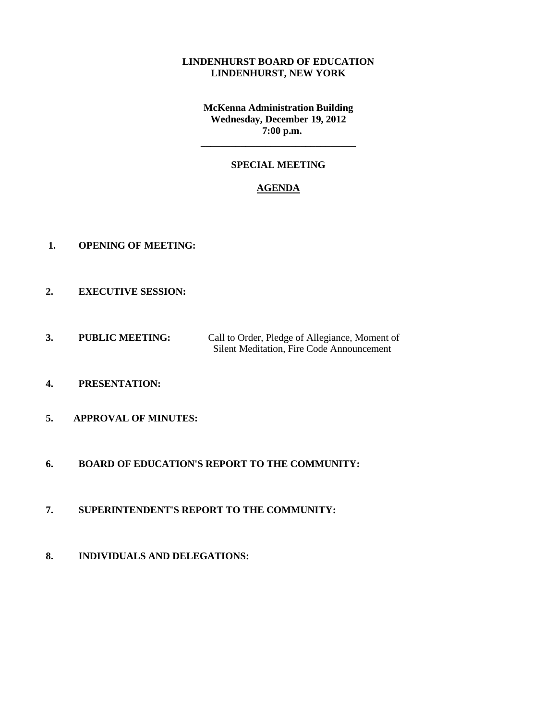#### **LINDENHURST BOARD OF EDUCATION LINDENHURST, NEW YORK**

**McKenna Administration Building Wednesday, December 19, 2012 7:00 p.m.**

## **SPECIAL MEETING**

**\_\_\_\_\_\_\_\_\_\_\_\_\_\_\_\_\_\_\_\_\_\_\_\_\_\_\_\_\_\_\_**

#### **AGENDA**

- **1. OPENING OF MEETING:**
- **2. EXECUTIVE SESSION:**
- **3. PUBLIC MEETING:** Call to Order, Pledge of Allegiance, Moment of Silent Meditation, Fire Code Announcement
- **4. PRESENTATION:**
- **5. APPROVAL OF MINUTES:**
- **6. BOARD OF EDUCATION'S REPORT TO THE COMMUNITY:**
- **7. SUPERINTENDENT'S REPORT TO THE COMMUNITY:**
- **8. INDIVIDUALS AND DELEGATIONS:**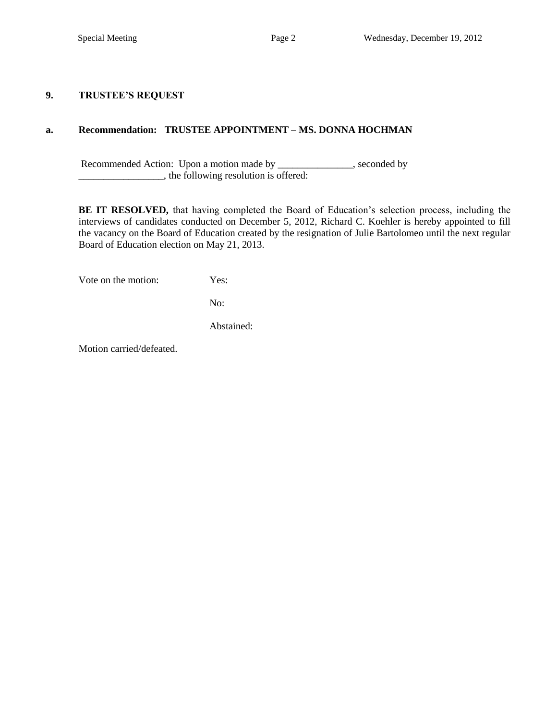#### **9. TRUSTEE'S REQUEST**

### **a. Recommendation: TRUSTEE APPOINTMENT – MS. DONNA HOCHMAN**

Recommended Action: Upon a motion made by \_\_\_\_\_\_\_\_\_\_\_\_\_, seconded by  $\overline{\phantom{a}}$ , the following resolution is offered:

**BE IT RESOLVED,** that having completed the Board of Education's selection process, including the interviews of candidates conducted on December 5, 2012, Richard C. Koehler is hereby appointed to fill the vacancy on the Board of Education created by the resignation of Julie Bartolomeo until the next regular Board of Education election on May 21, 2013.

Vote on the motion: Yes:

No:

Abstained:

Motion carried/defeated.